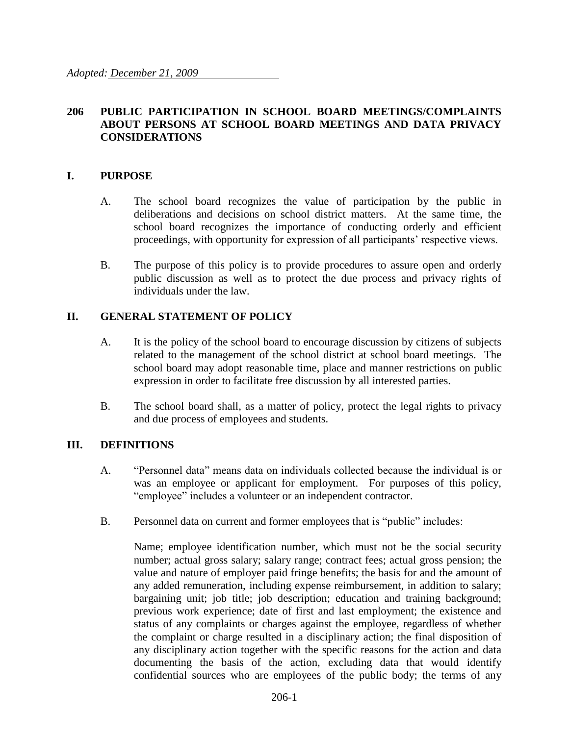### **206 PUBLIC PARTICIPATION IN SCHOOL BOARD MEETINGS/COMPLAINTS ABOUT PERSONS AT SCHOOL BOARD MEETINGS AND DATA PRIVACY CONSIDERATIONS**

#### **I. PURPOSE**

- A. The school board recognizes the value of participation by the public in deliberations and decisions on school district matters. At the same time, the school board recognizes the importance of conducting orderly and efficient proceedings, with opportunity for expression of all participants' respective views.
- B. The purpose of this policy is to provide procedures to assure open and orderly public discussion as well as to protect the due process and privacy rights of individuals under the law.

### **II. GENERAL STATEMENT OF POLICY**

- A. It is the policy of the school board to encourage discussion by citizens of subjects related to the management of the school district at school board meetings. The school board may adopt reasonable time, place and manner restrictions on public expression in order to facilitate free discussion by all interested parties.
- B. The school board shall, as a matter of policy, protect the legal rights to privacy and due process of employees and students.

#### **III. DEFINITIONS**

- A. "Personnel data" means data on individuals collected because the individual is or was an employee or applicant for employment. For purposes of this policy, "employee" includes a volunteer or an independent contractor.
- B. Personnel data on current and former employees that is "public" includes:

Name; employee identification number, which must not be the social security number; actual gross salary; salary range; contract fees; actual gross pension; the value and nature of employer paid fringe benefits; the basis for and the amount of any added remuneration, including expense reimbursement, in addition to salary; bargaining unit; job title; job description; education and training background; previous work experience; date of first and last employment; the existence and status of any complaints or charges against the employee, regardless of whether the complaint or charge resulted in a disciplinary action; the final disposition of any disciplinary action together with the specific reasons for the action and data documenting the basis of the action, excluding data that would identify confidential sources who are employees of the public body; the terms of any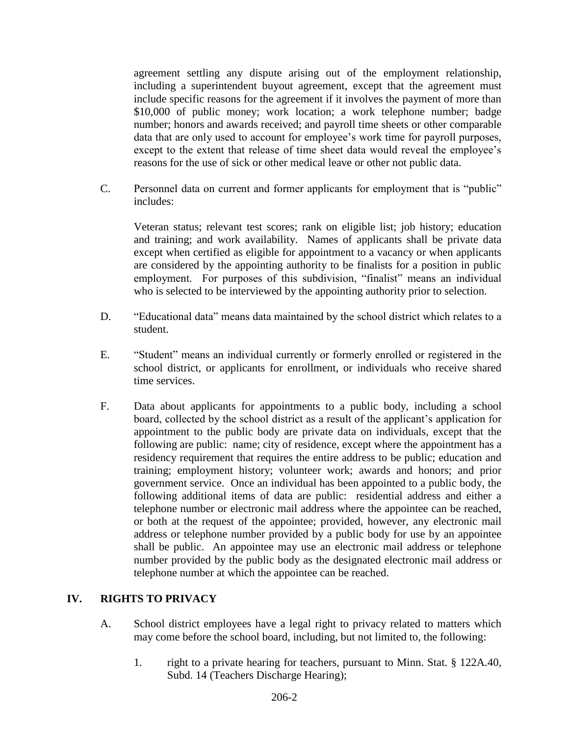agreement settling any dispute arising out of the employment relationship, including a superintendent buyout agreement, except that the agreement must include specific reasons for the agreement if it involves the payment of more than \$10,000 of public money; work location; a work telephone number; badge number; honors and awards received; and payroll time sheets or other comparable data that are only used to account for employee's work time for payroll purposes, except to the extent that release of time sheet data would reveal the employee's reasons for the use of sick or other medical leave or other not public data.

C. Personnel data on current and former applicants for employment that is "public" includes:

Veteran status; relevant test scores; rank on eligible list; job history; education and training; and work availability. Names of applicants shall be private data except when certified as eligible for appointment to a vacancy or when applicants are considered by the appointing authority to be finalists for a position in public employment. For purposes of this subdivision, "finalist" means an individual who is selected to be interviewed by the appointing authority prior to selection.

- D. "Educational data" means data maintained by the school district which relates to a student.
- E. "Student" means an individual currently or formerly enrolled or registered in the school district, or applicants for enrollment, or individuals who receive shared time services.
- F. Data about applicants for appointments to a public body, including a school board, collected by the school district as a result of the applicant's application for appointment to the public body are private data on individuals, except that the following are public: name; city of residence, except where the appointment has a residency requirement that requires the entire address to be public; education and training; employment history; volunteer work; awards and honors; and prior government service. Once an individual has been appointed to a public body, the following additional items of data are public: residential address and either a telephone number or electronic mail address where the appointee can be reached, or both at the request of the appointee; provided, however, any electronic mail address or telephone number provided by a public body for use by an appointee shall be public. An appointee may use an electronic mail address or telephone number provided by the public body as the designated electronic mail address or telephone number at which the appointee can be reached.

## **IV. RIGHTS TO PRIVACY**

- A. School district employees have a legal right to privacy related to matters which may come before the school board, including, but not limited to, the following:
	- 1. right to a private hearing for teachers, pursuant to Minn. Stat. § 122A.40, Subd. 14 (Teachers Discharge Hearing);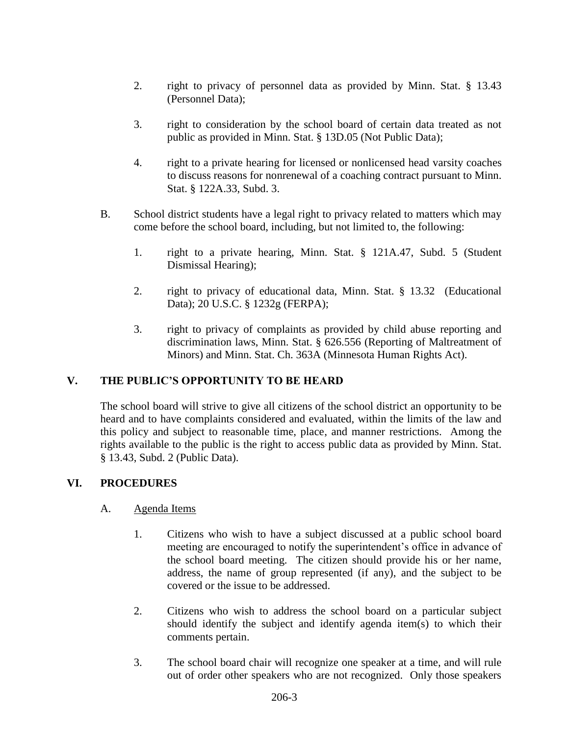- 2. right to privacy of personnel data as provided by Minn. Stat. § 13.43 (Personnel Data);
- 3. right to consideration by the school board of certain data treated as not public as provided in Minn. Stat. § 13D.05 (Not Public Data);
- 4. right to a private hearing for licensed or nonlicensed head varsity coaches to discuss reasons for nonrenewal of a coaching contract pursuant to Minn. Stat. § 122A.33, Subd. 3.
- B. School district students have a legal right to privacy related to matters which may come before the school board, including, but not limited to, the following:
	- 1. right to a private hearing, Minn. Stat. § 121A.47, Subd. 5 (Student Dismissal Hearing);
	- 2. right to privacy of educational data, Minn. Stat. § 13.32 (Educational Data); 20 U.S.C. § 1232g (FERPA);
	- 3. right to privacy of complaints as provided by child abuse reporting and discrimination laws, Minn. Stat. § 626.556 (Reporting of Maltreatment of Minors) and Minn. Stat. Ch. 363A (Minnesota Human Rights Act).

## **V. THE PUBLIC'S OPPORTUNITY TO BE HEARD**

The school board will strive to give all citizens of the school district an opportunity to be heard and to have complaints considered and evaluated, within the limits of the law and this policy and subject to reasonable time, place, and manner restrictions. Among the rights available to the public is the right to access public data as provided by Minn. Stat. § 13.43, Subd. 2 (Public Data).

## **VI. PROCEDURES**

#### A. Agenda Items

- 1. Citizens who wish to have a subject discussed at a public school board meeting are encouraged to notify the superintendent's office in advance of the school board meeting. The citizen should provide his or her name, address, the name of group represented (if any), and the subject to be covered or the issue to be addressed.
- 2. Citizens who wish to address the school board on a particular subject should identify the subject and identify agenda item(s) to which their comments pertain.
- 3. The school board chair will recognize one speaker at a time, and will rule out of order other speakers who are not recognized. Only those speakers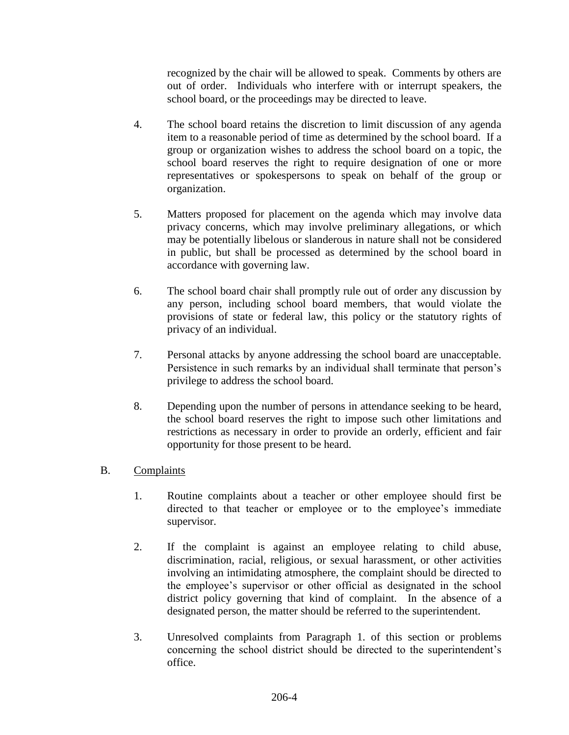recognized by the chair will be allowed to speak. Comments by others are out of order. Individuals who interfere with or interrupt speakers, the school board, or the proceedings may be directed to leave.

- 4. The school board retains the discretion to limit discussion of any agenda item to a reasonable period of time as determined by the school board. If a group or organization wishes to address the school board on a topic, the school board reserves the right to require designation of one or more representatives or spokespersons to speak on behalf of the group or organization.
- 5. Matters proposed for placement on the agenda which may involve data privacy concerns, which may involve preliminary allegations, or which may be potentially libelous or slanderous in nature shall not be considered in public, but shall be processed as determined by the school board in accordance with governing law.
- 6. The school board chair shall promptly rule out of order any discussion by any person, including school board members, that would violate the provisions of state or federal law, this policy or the statutory rights of privacy of an individual.
- 7. Personal attacks by anyone addressing the school board are unacceptable. Persistence in such remarks by an individual shall terminate that person's privilege to address the school board.
- 8. Depending upon the number of persons in attendance seeking to be heard, the school board reserves the right to impose such other limitations and restrictions as necessary in order to provide an orderly, efficient and fair opportunity for those present to be heard.

## B. Complaints

- 1. Routine complaints about a teacher or other employee should first be directed to that teacher or employee or to the employee's immediate supervisor.
- 2. If the complaint is against an employee relating to child abuse, discrimination, racial, religious, or sexual harassment, or other activities involving an intimidating atmosphere, the complaint should be directed to the employee's supervisor or other official as designated in the school district policy governing that kind of complaint. In the absence of a designated person, the matter should be referred to the superintendent.
- 3. Unresolved complaints from Paragraph 1. of this section or problems concerning the school district should be directed to the superintendent's office.